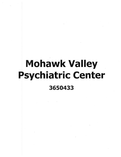## **Mohawk Valley Psychiatric Center** 3650433